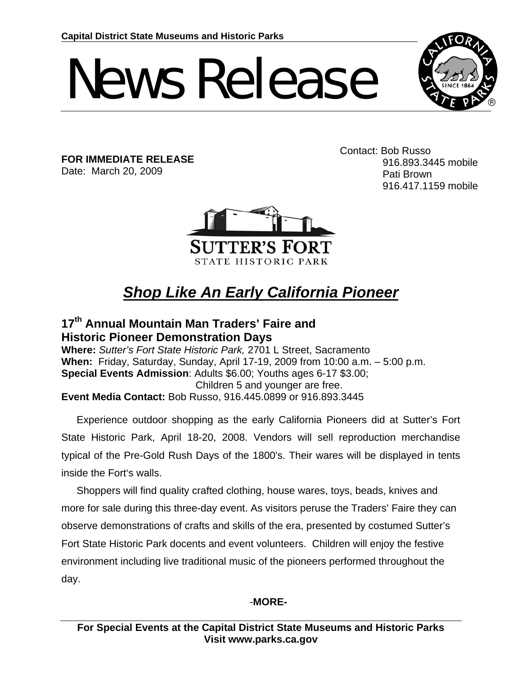# News Release



**FOR IMMEDIATE RELEASE**  Date: March 20, 2009

Contact: Bob Russo 916.893.3445 mobile Pati Brown 916.417.1159 mobile



## *Shop Like An Early California Pioneer*

### **17th Annual Mountain Man Traders' Faire and Historic Pioneer Demonstration Days**

**Where:** *Sutter's Fort State Historic Park,* 2701 L Street, Sacramento **When:** Friday, Saturday, Sunday, April 17-19, 2009 from 10:00 a.m. – 5:00 p.m. **Special Events Admission**: Adults \$6.00; Youths ages 6-17 \$3.00; Children 5 and younger are free. **Event Media Contact:** Bob Russo, 916.445.0899 or 916.893.3445

Experience outdoor shopping as the early California Pioneers did at Sutter's Fort State Historic Park, April 18-20, 2008. Vendors will sell reproduction merchandise typical of the Pre-Gold Rush Days of the 1800's. Their wares will be displayed in tents inside the Fort's walls.

Shoppers will find quality crafted clothing, house wares, toys, beads, knives and more for sale during this three-day event. As visitors peruse the Traders' Faire they can observe demonstrations of crafts and skills of the era, presented by costumed Sutter's Fort State Historic Park docents and event volunteers. Children will enjoy the festive environment including live traditional music of the pioneers performed throughout the day.

#### -**MORE-**